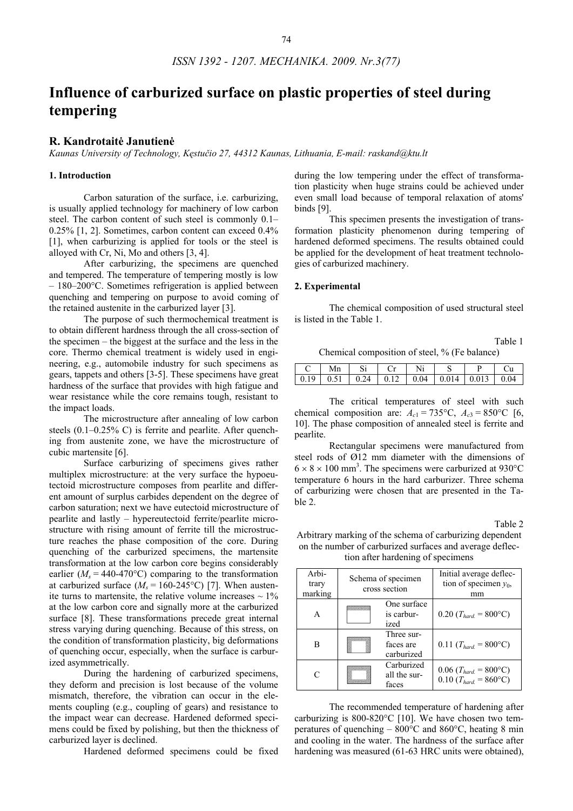# **Influence of carburized surface on plastic properties of steel during tempering**

# **R. Kandrotaitė Janutienė**

*Kaunas University of Technology, Kęstučio 27, 44312 Kaunas, Lithuania, E-mail: raskand@ktu.lt* 

## **1. Introduction**

Carbon saturation of the surface, i.e. carburizing, is usually applied technology for machinery of low carbon steel. The carbon content of such steel is commonly 0.1– 0.25% [1, 2]. Sometimes, carbon content can exceed 0.4% [1], when carburizing is applied for tools or the steel is alloyed with Cr, Ni, Mo and others [3, 4].

After carburizing, the specimens are quenched and tempered. The temperature of tempering mostly is low – 180–200°C. Sometimes refrigeration is applied between quenching and tempering on purpose to avoid coming of the retained austenite in the carburized layer [3].

The purpose of such thermochemical treatment is to obtain different hardness through the all cross-section of the specimen – the biggest at the surface and the less in the core. Thermo chemical treatment is widely used in engineering, e.g., automobile industry for such specimens as gears, tappets and others [3-5]. These specimens have great hardness of the surface that provides with high fatigue and wear resistance while the core remains tough, resistant to the impact loads.

The microstructure after annealing of low carbon steels (0.1–0.25% C) is ferrite and pearlite. After quenching from austenite zone, we have the microstructure of cubic martensite [6].

Surface carburizing of specimens gives rather multiplex microstructure: at the very surface the hypoeutectoid microstructure composes from pearlite and different amount of surplus carbides dependent on the degree of carbon saturation; next we have eutectoid microstructure of pearlite and lastly – hypereutectoid ferrite/pearlite microstructure with rising amount of ferrite till the microstructure reaches the phase composition of the core. During quenching of the carburized specimens, the martensite transformation at the low carbon core begins considerably earlier ( $M_s = 440-470$ °C) comparing to the transformation at carburized surface  $(M_s = 160-245^{\circ}\text{C})$  [7]. When austenite turns to martensite, the relative volume increases  $\sim 1\%$ at the low carbon core and signally more at the carburized surface [8]. These transformations precede great internal stress varying during quenching. Because of this stress, on the condition of transformation plasticity, big deformations of quenching occur, especially, when the surface is carburized asymmetrically.

During the hardening of carburized specimens, they deform and precision is lost because of the volume mismatch, therefore, the vibration can occur in the elements coupling (e.g., coupling of gears) and resistance to the impact wear can decrease. Hardened deformed specimens could be fixed by polishing, but then the thickness of carburized layer is declined.

Hardened deformed specimens could be fixed

during the low tempering under the effect of transformation plasticity when huge strains could be achieved under even small load because of temporal relaxation of atoms' binds [9].

This specimen presents the investigation of transformation plasticity phenomenon during tempering of hardened deformed specimens. The results obtained could be applied for the development of heat treatment technologies of carburized machinery.

## **2. Experimental**

The chemical composition of used structural steel is listed in the Table 1.

Table 1

Chemical composition of steel, % (Fe balance)

| Mn |  |                                                                                             |  |
|----|--|---------------------------------------------------------------------------------------------|--|
|    |  | $\vert 0.19 \vert 0.51 \vert 0.24 \vert 0.12 \vert 0.04 \vert 0.014 \vert 0.013 \vert 0.04$ |  |

The critical temperatures of steel with such chemical composition are:  $A_{c1} = 735^{\circ}\text{C}$ ,  $A_{c3} = 850^{\circ}\text{C}$  [6, 10]. The phase composition of annealed steel is ferrite and pearlite.

Rectangular specimens were manufactured from steel rods of Ø12 mm diameter with the dimensions of  $6 \times 8 \times 100$  mm<sup>3</sup>. The specimens were carburized at 930°C temperature 6 hours in the hard carburizer. Three schema of carburizing were chosen that are presented in the Table 2.

Table 2

Arbitrary marking of the schema of carburizing dependent on the number of carburized surfaces and average deflection after hardening of specimens

| Arbi-<br>trary<br>marking | Schema of specimen<br>cross section |                                       | Initial average deflec-<br>tion of specimen $y_0$ ,<br>mm                        |
|---------------------------|-------------------------------------|---------------------------------------|----------------------------------------------------------------------------------|
| A                         |                                     | One surface<br>is carbur-<br>ized     | $0.20$ (T <sub>hard.</sub> = 800°C)                                              |
| в                         |                                     | Three sur-<br>faces are<br>carburized | $0.11$ (T <sub>hard.</sub> = 800°C)                                              |
| C                         |                                     | Carburized<br>all the sur-<br>faces   | $0.06$ ( <i>T<sub>hard.</sub></i> = 800°C)<br>$0.10$ (T <sub>hard</sub> = 860°C) |

The recommended temperature of hardening after carburizing is  $800-820$ °C [10]. We have chosen two temperatures of quenching – 800°C and 860°C, heating 8 min and cooling in the water. The hardness of the surface after hardening was measured (61-63 HRC units were obtained),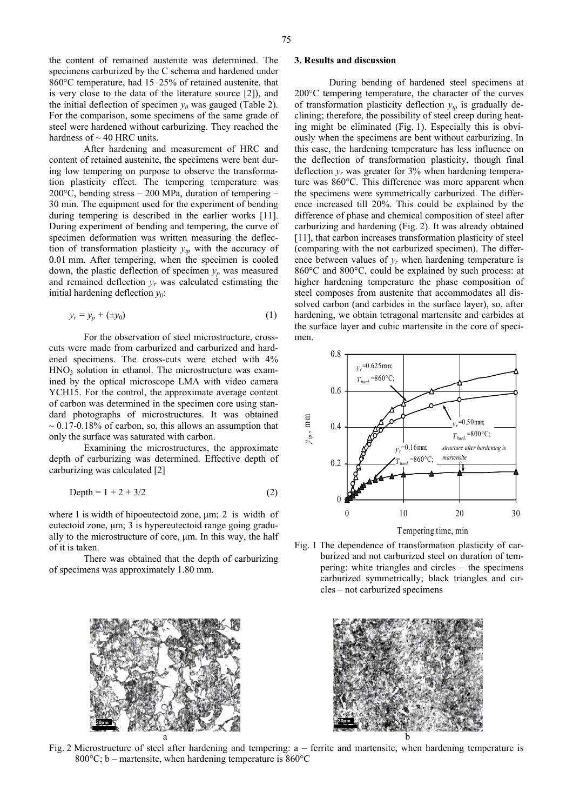the content of remained austenite was determined. The specimens carburized by the C schema and hardened under 860°C temperature, had 15–25% of retained austenite, that is very close to the data of the literature source [2]), and the initial deflection of specimen  $y_0$  was gauged (Table 2). For the comparison, some specimens of the same grade of steel were hardened without carburizing. They reached the hardness of  $\sim$  40 HRC units.

After hardening and measurement of HRC and content of retained austenite, the specimens were bent during low tempering on purpose to observe the transformation plasticity effect. The tempering temperature was 200 $^{\circ}$ C, bending stress – 200 MPa, duration of tempering – 30 min. The equipment used for the experiment of bending during tempering is described in the earlier works [11]. During experiment of bending and tempering, the curve of specimen deformation was written measuring the deflection of transformation plasticity  $y_{tp}$  with the accuracy of 0.01 mm. After tempering, when the specimen is cooled down, the plastic deflection of specimen  $y_p$  was measured and remained deflection  $y_r$  was calculated estimating the initial hardening deflection  $y_0$ :

$$
y_r = y_p + (\pm y_0) \tag{1}
$$

For the observation of steel microstructure, crosscuts were made from carburized and carburized and hardened specimens. The cross-cuts were etched with 4%  $HNO<sub>3</sub>$  solution in ethanol. The microstructure was examined by the optical microscope LMA with video camera YCH15. For the control, the approximate average content of carbon was determined in the specimen core using standard photographs of microstructures. It was obtained  $\sim 0.17$ -0.18% of carbon, so, this allows an assumption that only the surface was saturated with carbon.

Examining the microstructures, the approximate depth of carburizing was determined. Effective depth of carburizing was calculated [2]

Depth = 
$$
1 + 2 + 3/2
$$
 (2)

where 1 is width of hipoeutectoid zone, μm; 2 is width of eutectoid zone, μm; 3 is hypereutectoid range going gradually to the microstructure of core, μm. In this way, the half of it is taken.

There was obtained that the depth of carburizing of specimens was approximately 1.80 mm.



During bending of hardened steel specimens at 200°C tempering temperature, the character of the curves of transformation plasticity deflection  $y_m$  is gradually declining; therefore, the possibility of steel creep during heating might be eliminated (Fig. 1). Especially this is obviously when the specimens are bent without carburizing. In this case, the hardening temperature has less influence on the deflection of transformation plasticity, though final deflection  $y_r$  was greater for  $3\%$  when hardening temperature was 860°C. This difference was more apparent when the specimens were symmetrically carburized. The difference increased till 20%. This could be explained by the difference of phase and chemical composition of steel after carburizing and hardening (Fig. 2). It was already obtained [11], that carbon increases transformation plasticity of steel (comparing with the not carburized specimen). The difference between values of  $y_r$  when hardening temperature is 860°C and 800°C, could be explained by such process: at higher hardening temperature the phase composition of steel composes from austenite that accommodates all dissolved carbon (and carbides in the surface layer), so, after hardening, we obtain tetragonal martensite and carbides at the surface layer and cubic martensite in the core of specimen.



Fig. 1 The dependence of transformation plasticity of carburized and not carburized steel on duration of tempering: white triangles and circles – the specimens carburized symmetrically; black triangles and circles – not carburized specimens





Fig. 2 Microstructure of steel after hardening and tempering: a – ferrite and martensite, when hardening temperature is 800 $^{\circ}$ C; b – martensite, when hardening temperature is 860 $^{\circ}$ C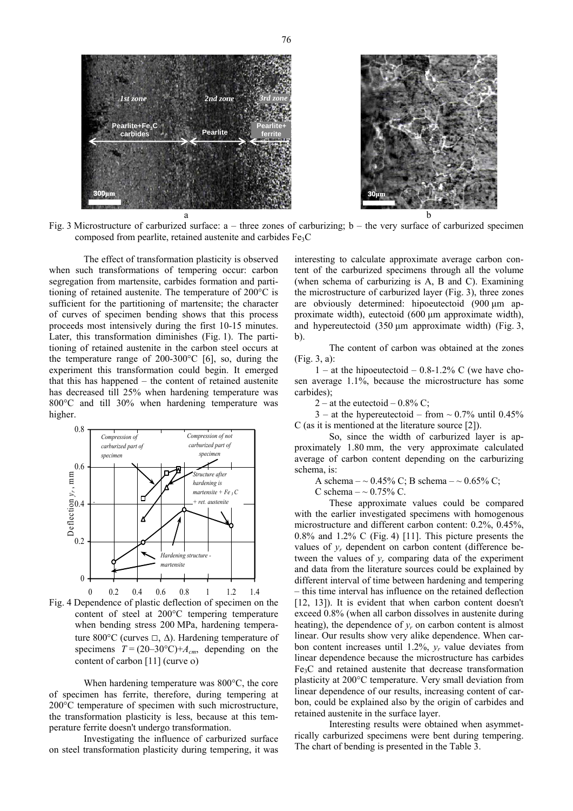

Fig. 3 Microstructure of carburized surface: a – three zones of carburizing; b – the very surface of carburized specimen composed from pearlite, retained austenite and carbides Fe3C

The effect of transformation plasticity is observed when such transformations of tempering occur: carbon segregation from martensite, carbides formation and partitioning of retained austenite. The temperature of 200°C is sufficient for the partitioning of martensite; the character of curves of specimen bending shows that this process proceeds most intensively during the first 10-15 minutes. Later, this transformation diminishes (Fig. 1). The partitioning of retained austenite in the carbon steel occurs at the temperature range of 200-300°C [6], so, during the experiment this transformation could begin. It emerged that this has happened – the content of retained austenite has decreased till 25% when hardening temperature was 800°C and till 30% when hardening temperature was higher.



Fig. 4 Dependence of plastic deflection of specimen on the content of steel at 200°C tempering temperature when bending stress 200 MPa, hardening temperature 800°C (curves  $\Box$ ,  $\Delta$ ). Hardening temperature of specimens  $T = (20-30^{\circ}\text{C})+A_{cm}$ , depending on the content of carbon [11] (curve ο)

When hardening temperature was 800°C, the core of specimen has ferrite, therefore, during tempering at 200°C temperature of specimen with such microstructure, the transformation plasticity is less, because at this temperature ferrite doesn't undergo transformation.

Investigating the influence of carburized surface on steel transformation plasticity during tempering, it was

interesting to calculate approximate average carbon content of the carburized specimens through all the volume (when schema of carburizing is A, B and C). Examining the microstructure of carburized layer (Fig. 3), three zones are obviously determined: hipoeutectoid (900 μm approximate width), eutectoid (600 μm approximate width), and hypereutectoid (350 μm approximate width) (Fig. 3, b).

The content of carbon was obtained at the zones (Fig. 3, a):

1 – at the hipoeutectoid – 0.8-1.2% C (we have chosen average 1.1%, because the microstructure has some carbides);

2 – at the eutectoid –  $0.8\%$  C;

 $3 -$  at the hypereutectoid – from  $\sim 0.7\%$  until 0.45% C (as it is mentioned at the literature source [2]).

So, since the width of carburized layer is approximately 1.80 mm, the very approximate calculated average of carbon content depending on the carburizing schema, is:

A schema –  $\sim 0.45\%$  C; B schema –  $\sim 0.65\%$  C;

C schema  $-\sim 0.75\%$  C.

These approximate values could be compared with the earlier investigated specimens with homogenous microstructure and different carbon content: 0.2%, 0.45%, 0.8% and 1.2% C (Fig. 4) [11]. This picture presents the values of  $y_r$  dependent on carbon content (difference between the values of  $y_r$  comparing data of the experiment and data from the literature sources could be explained by different interval of time between hardening and tempering – this time interval has influence on the retained deflection [12, 13]). It is evident that when carbon content doesn't exceed 0.8% (when all carbon dissolves in austenite during heating), the dependence of  $y_r$  on carbon content is almost linear. Our results show very alike dependence. When carbon content increases until 1.2%, *yr* value deviates from linear dependence because the microstructure has carbides Fe3C and retained austenite that decrease transformation plasticity at 200°C temperature. Very small deviation from linear dependence of our results, increasing content of carbon, could be explained also by the origin of carbides and retained austenite in the surface layer.

Interesting results were obtained when asymmetrically carburized specimens were bent during tempering. The chart of bending is presented in the Table 3.

76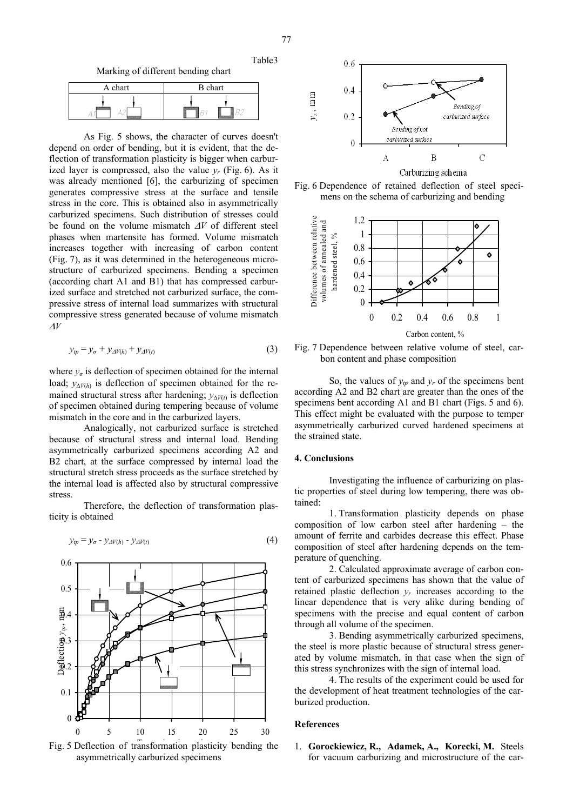Table3

Marking of different bending chart

| A chart | <b>B</b> chart |  |  |
|---------|----------------|--|--|
| -       |                |  |  |

As Fig. 5 shows, the character of curves doesn't depend on order of bending, but it is evident, that the deflection of transformation plasticity is bigger when carburized layer is compressed, also the value  $v_r$  (Fig. 6). As it was already mentioned [6], the carburizing of specimen generates compressive stress at the surface and tensile stress in the core. This is obtained also in asymmetrically carburized specimens. Such distribution of stresses could be found on the volume mismatch Δ*V* of different steel phases when martensite has formed. Volume mismatch increases together with increasing of carbon content (Fig. 7), as it was determined in the heterogeneous microstructure of carburized specimens. Bending a specimen (according chart A1 and B1) that has compressed carburized surface and stretched not carburized surface, the compressive stress of internal load summarizes with structural compressive stress generated because of volume mismatch <sup>Δ</sup>*V*

$$
y_{tp} = y_{\sigma} + y_{\Delta V(h)} + y_{\Delta V(t)} \tag{3}
$$

where  $y_{\sigma}$  is deflection of specimen obtained for the internal load;  $y_{\Delta V(h)}$  is deflection of specimen obtained for the remained structural stress after hardening;  $y_{\Delta V(t)}$  is deflection of specimen obtained during tempering because of volume mismatch in the core and in the carburized layers.

 Analogically, not carburized surface is stretched because of structural stress and internal load. Bending asymmetrically carburized specimens according A2 and B2 chart, at the surface compressed by internal load the structural stretch stress proceeds as the surface stretched by the internal load is affected also by structural compressive stress.

Therefore, the deflection of transformation plasticity is obtained





Fig. 5 Deflection of transformation plasticity bending the asymmetrically carburized specimens







Fig. 7 Dependence between relative volume of steel, carbon content and phase composition

So, the values of  $y_p$  and  $y_r$  of the specimens bent according A2 and B2 chart are greater than the ones of the specimens bent according A1 and B1 chart (Figs. 5 and 6). This effect might be evaluated with the purpose to temper asymmetrically carburized curved hardened specimens at the strained state.

# **4. Conclusions**

Investigating the influence of carburizing on plastic properties of steel during low tempering, there was obtained:

1. Transformation plasticity depends on phase composition of low carbon steel after hardening – the amount of ferrite and carbides decrease this effect. Phase composition of steel after hardening depends on the temperature of quenching.

2. Calculated approximate average of carbon content of carburized specimens has shown that the value of retained plastic deflection  $y_r$  increases according to the linear dependence that is very alike during bending of specimens with the precise and equal content of carbon through all volume of the specimen.

3. Bending asymmetrically carburized specimens, the steel is more plastic because of structural stress generated by volume mismatch, in that case when the sign of this stress synchronizes with the sign of internal load.

4. The results of the experiment could be used for the development of heat treatment technologies of the carburized production.

# **References**

1. **Gorockiewicz, R., Adamek, A., Korecki, M.** Steels for vacuum carburizing and microstructure of the car-